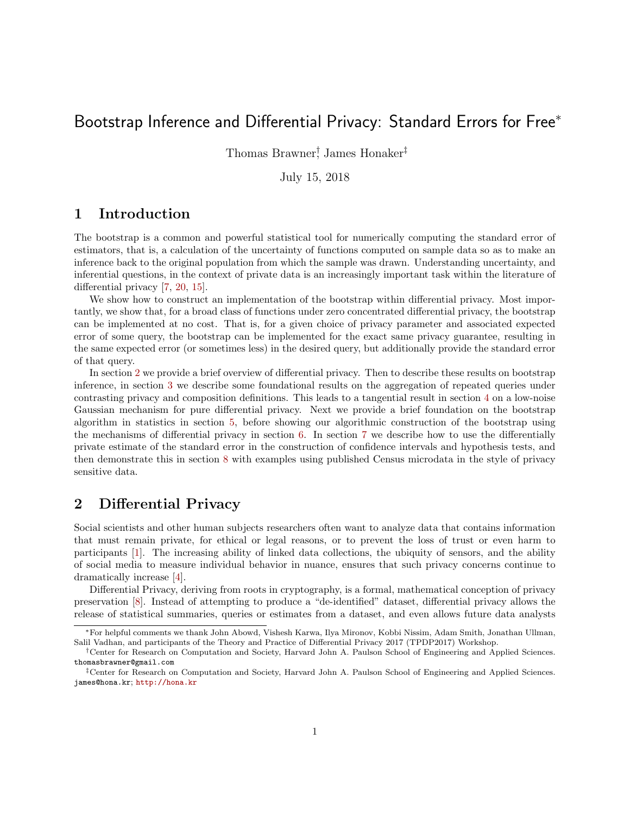# Bootstrap Inference and Differential Privacy: Standard Errors for Free<sup>\*</sup>

Thomas Brawner† , James Honaker‡

July 15, 2018

### 1 Introduction

The bootstrap is a common and powerful statistical tool for numerically computing the standard error of estimators, that is, a calculation of the uncertainty of functions computed on sample data so as to make an inference back to the original population from which the sample was drawn. Understanding uncertainty, and inferential questions, in the context of private data is an increasingly important task within the literature of differential privacy [\[7,](#page-15-0) [20,](#page-16-0) [15\]](#page-16-1).

We show how to construct an implementation of the bootstrap within differential privacy. Most importantly, we show that, for a broad class of functions under zero concentrated differential privacy, the bootstrap can be implemented at no cost. That is, for a given choice of privacy parameter and associated expected error of some query, the bootstrap can be implemented for the exact same privacy guarantee, resulting in the same expected error (or sometimes less) in the desired query, but additionally provide the standard error of that query.

In section [2](#page-0-0) we provide a brief overview of differential privacy. Then to describe these results on bootstrap inference, in section [3](#page-3-0) we describe some foundational results on the aggregation of repeated queries under contrasting privacy and composition definitions. This leads to a tangential result in section [4](#page-5-0) on a low-noise Gaussian mechanism for pure differential privacy. Next we provide a brief foundation on the bootstrap algorithm in statistics in section [5,](#page-7-0) before showing our algorithmic construction of the bootstrap using the mechanisms of differential privacy in section [6.](#page-7-1) In section [7](#page-10-0) we describe how to use the differentially private estimate of the standard error in the construction of confidence intervals and hypothesis tests, and then demonstrate this in section [8](#page-13-0) with examples using published Census microdata in the style of privacy sensitive data.

### <span id="page-0-0"></span>2 Differential Privacy

Social scientists and other human subjects researchers often want to analyze data that contains information that must remain private, for ethical or legal reasons, or to prevent the loss of trust or even harm to participants [\[1\]](#page-15-1). The increasing ability of linked data collections, the ubiquity of sensors, and the ability of social media to measure individual behavior in nuance, ensures that such privacy concerns continue to dramatically increase [\[4\]](#page-15-2).

Differential Privacy, deriving from roots in cryptography, is a formal, mathematical conception of privacy preservation [\[8\]](#page-15-3). Instead of attempting to produce a "de-identified" dataset, differential privacy allows the release of statistical summaries, queries or estimates from a dataset, and even allows future data analysts

<sup>∗</sup>For helpful comments we thank John Abowd, Vishesh Karwa, Ilya Mironov, Kobbi Nissim, Adam Smith, Jonathan Ullman, Salil Vadhan, and participants of the Theory and Practice of Differential Privacy 2017 (TPDP2017) Workshop.

<sup>†</sup>Center for Research on Computation and Society, Harvard John A. Paulson School of Engineering and Applied Sciences. thomasbrawner@gmail.com

<sup>‡</sup>Center for Research on Computation and Society, Harvard John A. Paulson School of Engineering and Applied Sciences. james@hona.kr; <http://hona.kr>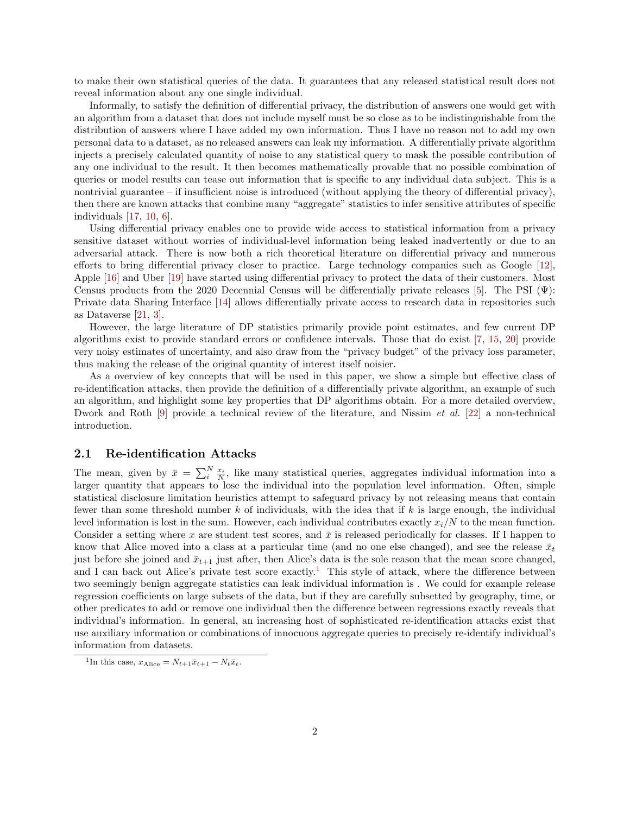to make their own statistical queries of the data. It guarantees that any released statistical result does not reveal information about any one single individual.

Informally, to satisfy the definition of differential privacy, the distribution of answers one would get with an algorithm from a dataset that does not include myself must be so close as to be indistinguishable from the distribution of answers where I have added my own information. Thus I have no reason not to add my own personal data to a dataset, as no released answers can leak my information. A differentially private algorithm injects a precisely calculated quantity of noise to any statistical query to mask the possible contribution of any one individual to the result. It then becomes mathematically provable that no possible combination of queries or model results can tease out information that is specific to any individual data subject. This is a nontrivial guarantee – if insufficient noise is introduced (without applying the theory of differential privacy), then there are known attacks that combine many "aggregate" statistics to infer sensitive attributes of specific individuals [\[17,](#page-16-2) [10,](#page-15-4) [6\]](#page-15-5).

Using differential privacy enables one to provide wide access to statistical information from a privacy sensitive dataset without worries of individual-level information being leaked inadvertently or due to an adversarial attack. There is now both a rich theoretical literature on differential privacy and numerous efforts to bring differential privacy closer to practice. Large technology companies such as Google [\[12\]](#page-16-3), Apple [\[16\]](#page-16-4) and Uber [\[19\]](#page-16-5) have started using differential privacy to protect the data of their customers. Most Census products from the 2020 Decennial Census will be differentially private releases [\[5\]](#page-15-6). The PSI  $(\Psi)$ : Private data Sharing Interface [\[14\]](#page-16-6) allows differentially private access to research data in repositories such as Dataverse [\[21,](#page-16-7) [3\]](#page-15-7).

However, the large literature of DP statistics primarily provide point estimates, and few current DP algorithms exist to provide standard errors or confidence intervals. Those that do exist [\[7,](#page-15-0) [15,](#page-16-1) [20\]](#page-16-0) provide very noisy estimates of uncertainty, and also draw from the "privacy budget" of the privacy loss parameter, thus making the release of the original quantity of interest itself noisier.

As a overview of key concepts that will be used in this paper, we show a simple but effective class of re-identification attacks, then provide the definition of a differentially private algorithm, an example of such an algorithm, and highlight some key properties that DP algorithms obtain. For a more detailed overview, Dwork and Roth [\[9\]](#page-15-8) provide a technical review of the literature, and Nissim *et al.* [\[22\]](#page-16-8) a non-technical introduction.

#### 2.1 Re-identification Attacks

The mean, given by  $\bar{x} = \sum_{i=1}^{N} \frac{x_i}{N}$ , like many statistical queries, aggregates individual information into a larger quantity that appears to lose the individual into the population level information. Often, simple statistical disclosure limitation heuristics attempt to safeguard privacy by not releasing means that contain fewer than some threshold number  $k$  of individuals, with the idea that if  $k$  is large enough, the individual level information is lost in the sum. However, each individual contributes exactly  $x_i/N$  to the mean function. Consider a setting where x are student test scores, and  $\bar{x}$  is released periodically for classes. If I happen to know that Alice moved into a class at a particular time (and no one else changed), and see the release  $\bar{x}_t$ just before she joined and  $\bar{x}_{t+1}$  just after, then Alice's data is the sole reason that the mean score changed, and I can back out Alice's private test score exactly.<sup>[1](#page-1-0)</sup> This style of attack, where the difference between two seemingly benign aggregate statistics can leak individual information is . We could for example release regression coefficients on large subsets of the data, but if they are carefully subsetted by geography, time, or other predicates to add or remove one individual then the difference between regressions exactly reveals that individual's information. In general, an increasing host of sophisticated re-identification attacks exist that use auxiliary information or combinations of innocuous aggregate queries to precisely re-identify individual's information from datasets.

<span id="page-1-0"></span><sup>&</sup>lt;sup>1</sup>In this case,  $x_{\text{Alice}} = N_{t+1}\bar{x}_{t+1} - N_t\bar{x}_t$ .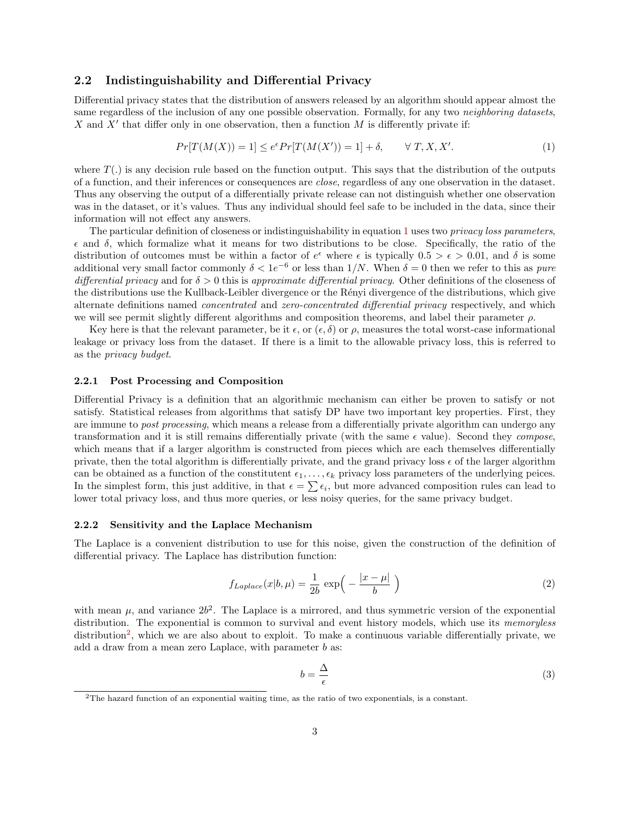#### 2.2 Indistinguishability and Differential Privacy

Differential privacy states that the distribution of answers released by an algorithm should appear almost the same regardless of the inclusion of any one possible observation. Formally, for any two *neighboring datasets*, X and  $X'$  that differ only in one observation, then a function M is differently private if:

<span id="page-2-0"></span>
$$
Pr[T(M(X)) = 1] \le e^{\epsilon} Pr[T(M(X')) = 1] + \delta, \qquad \forall T, X, X'. \tag{1}
$$

where  $T(.)$  is any decision rule based on the function output. This says that the distribution of the outputs of a function, and their inferences or consequences are close, regardless of any one observation in the dataset. Thus any observing the output of a differentially private release can not distinguish whether one observation was in the dataset, or it's values. Thus any individual should feel safe to be included in the data, since their information will not effect any answers.

The particular definition of closeness or indistinguishability in equation [1](#page-2-0) uses two privacy loss parameters, and δ, which formalize what it means for two distributions to be close. Specifically, the ratio of the distribution of outcomes must be within a factor of  $e^{\epsilon}$  where  $\epsilon$  is typically  $0.5 > \epsilon > 0.01$ , and  $\delta$  is some additional very small factor commonly  $\delta < 1e^{-6}$  or less than  $1/N$ . When  $\delta = 0$  then we refer to this as pure differential privacy and for  $\delta > 0$  this is approximate differential privacy. Other definitions of the closeness of the distributions use the Kullback-Leibler divergence or the Rényi divergence of the distributions, which give alternate definitions named concentrated and zero-concentrated differential privacy respectively, and which we will see permit slightly different algorithms and composition theorems, and label their parameter  $\rho$ .

Key here is that the relevant parameter, be it  $\epsilon$ , or  $(\epsilon, \delta)$  or  $\rho$ , measures the total worst-case informational leakage or privacy loss from the dataset. If there is a limit to the allowable privacy loss, this is referred to as the privacy budget.

#### 2.2.1 Post Processing and Composition

Differential Privacy is a definition that an algorithmic mechanism can either be proven to satisfy or not satisfy. Statistical releases from algorithms that satisfy DP have two important key properties. First, they are immune to *post processing*, which means a release from a differentially private algorithm can undergo any transformation and it is still remains differentially private (with the same  $\epsilon$  value). Second they *compose*, which means that if a larger algorithm is constructed from pieces which are each themselves differentially private, then the total algorithm is differentially private, and the grand privacy loss  $\epsilon$  of the larger algorithm can be obtained as a function of the constitutent  $\epsilon_1, \ldots, \epsilon_k$  privacy loss parameters of the underlying peices. In the simplest form, this just additive, in that  $\epsilon = \sum_i \epsilon_i$ , but more advanced composition rules can lead to lower total privacy loss, and thus more queries, or less noisy queries, for the same privacy budget.

#### 2.2.2 Sensitivity and the Laplace Mechanism

The Laplace is a convenient distribution to use for this noise, given the construction of the definition of differential privacy. The Laplace has distribution function:

$$
f_{Laplace}(x|b,\mu) = \frac{1}{2b} \exp\left(-\frac{|x-\mu|}{b}\right)
$$
 (2)

with mean  $\mu$ , and variance  $2b^2$ . The Laplace is a mirrored, and thus symmetric version of the exponential distribution. The exponential is common to survival and event history models, which use its *memoryless* distribution<sup>[2](#page-2-1)</sup>, which we are also about to exploit. To make a continuous variable differentially private, we add a draw from a mean zero Laplace, with parameter b as:

$$
b = \frac{\Delta}{\epsilon} \tag{3}
$$

<span id="page-2-1"></span><sup>2</sup>The hazard function of an exponential waiting time, as the ratio of two exponentials, is a constant.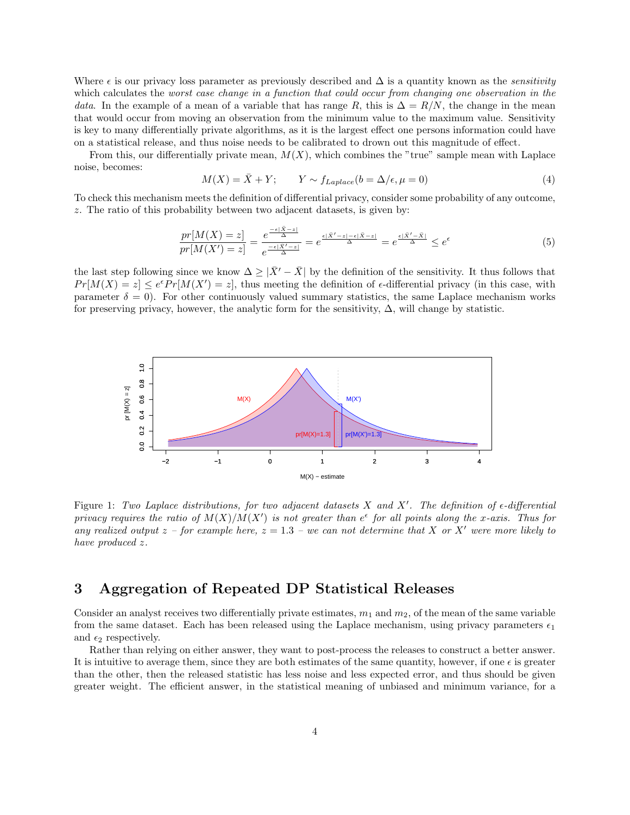Where  $\epsilon$  is our privacy loss parameter as previously described and  $\Delta$  is a quantity known as the *sensitivity* which calculates the worst case change in a function that could occur from changing one observation in the data. In the example of a mean of a variable that has range R, this is  $\Delta = R/N$ , the change in the mean that would occur from moving an observation from the minimum value to the maximum value. Sensitivity is key to many differentially private algorithms, as it is the largest effect one persons information could have on a statistical release, and thus noise needs to be calibrated to drown out this magnitude of effect.

From this, our differentially private mean,  $M(X)$ , which combines the "true" sample mean with Laplace noise, becomes:

$$
M(X) = \bar{X} + Y; \qquad Y \sim f_{Laplace}(b = \Delta/\epsilon, \mu = 0)
$$
\n<sup>(4)</sup>

To check this mechanism meets the definition of differential privacy, consider some probability of any outcome, z. The ratio of this probability between two adjacent datasets, is given by:

$$
\frac{pr[M(X) = z]}{pr[M(X') = z]} = \frac{e^{\frac{-\epsilon|\bar{X} - z|}{\Delta}}}{e^{\frac{-\epsilon|\bar{X}' - z|}{\Delta}}} = e^{\frac{\epsilon|\bar{X}' - z| - \epsilon|\bar{X} - z|}{\Delta}} = e^{\frac{\epsilon|\bar{X}' - \bar{X}|}{\Delta}} \le e^{\epsilon}
$$
\n(5)

the last step following since we know  $\Delta \geq |\bar{X}^{\prime} - \bar{X}|$  by the definition of the sensitivity. It thus follows that  $Pr[M(X) = z] \leq e^{\epsilon} Pr[M(X') = z]$ , thus meeting the definition of  $\epsilon$ -differential privacy (in this case, with parameter  $\delta = 0$ . For other continuously valued summary statistics, the same Laplace mechanism works for preserving privacy, however, the analytic form for the sensitivity,  $\Delta$ , will change by statistic.



Figure 1: Two Laplace distributions, for two adjacent datasets X and X'. The definition of  $\epsilon$ -differential privacy requires the ratio of  $M(X)/M(X')$  is not greater than  $e^{\epsilon}$  for all points along the x-axis. Thus for any realized output  $z$  – for example here,  $z = 1.3$  – we can not determine that X or X' were more likely to have produced z.

## <span id="page-3-0"></span>3 Aggregation of Repeated DP Statistical Releases

Consider an analyst receives two differentially private estimates,  $m_1$  and  $m_2$ , of the mean of the same variable from the same dataset. Each has been released using the Laplace mechanism, using privacy parameters  $\epsilon_1$ and  $\epsilon_2$  respectively.

Rather than relying on either answer, they want to post-process the releases to construct a better answer. It is intuitive to average them, since they are both estimates of the same quantity, however, if one  $\epsilon$  is greater than the other, then the released statistic has less noise and less expected error, and thus should be given greater weight. The efficient answer, in the statistical meaning of unbiased and minimum variance, for a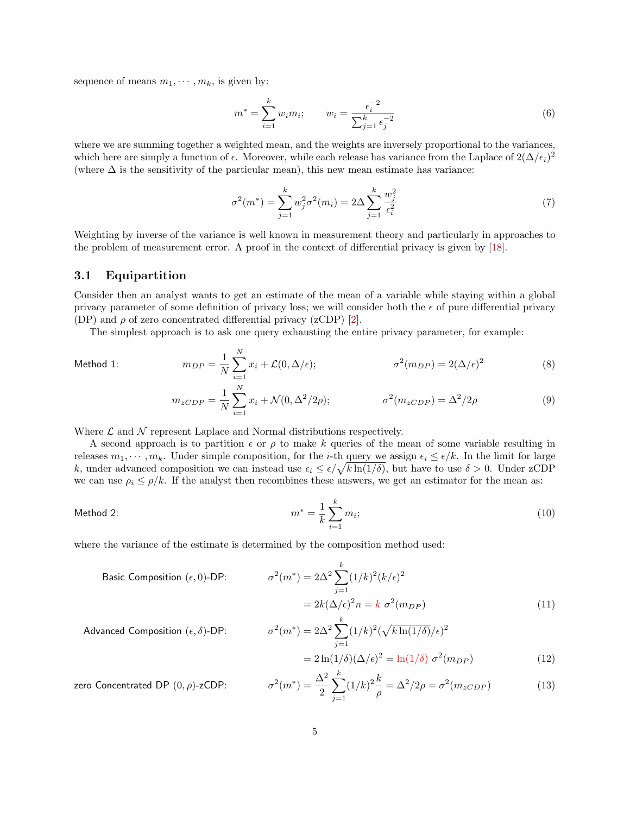sequence of means  $m_1, \dots, m_k$ , is given by:

$$
m^* = \sum_{i=1}^k w_i m_i; \qquad w_i = \frac{\epsilon_i^{-2}}{\sum_{j=1}^k \epsilon_j^{-2}}
$$
(6)

where we are summing together a weighted mean, and the weights are inversely proportional to the variances, which here are simply a function of  $\epsilon$ . Moreover, while each release has variance from the Laplace of  $2(\Delta/\epsilon_i)^2$ (where  $\Delta$  is the sensitivity of the particular mean), this new mean estimate has variance:

<span id="page-4-0"></span>
$$
\sigma^{2}(m^{*}) = \sum_{j=1}^{k} w_{j}^{2} \sigma^{2}(m_{i}) = 2\Delta \sum_{j=1}^{k} \frac{w_{j}^{2}}{\epsilon_{i}^{2}}
$$
\n(7)

Weighting by inverse of the variance is well known in measurement theory and particularly in approaches to the problem of measurement error. A proof in the context of differential privacy is given by [\[18\]](#page-16-9).

#### 3.1 Equipartition

Consider then an analyst wants to get an estimate of the mean of a variable while staying within a global privacy parameter of some definition of privacy loss; we will consider both the  $\epsilon$  of pure differential privacy (DP) and  $\rho$  of zero concentrated differential privacy (zCDP) [\[2\]](#page-15-9).

The simplest approach is to ask one query exhausting the entire privacy parameter, for example:

Method 1: 
$$
m_{DP} = \frac{1}{N} \sum_{i=1}^{N} x_i + \mathcal{L}(0, \Delta/\epsilon); \qquad \sigma^2(m_{DP}) = 2(\Delta/\epsilon)^2
$$
 (8)

$$
m_{zCDP} = \frac{1}{N} \sum_{i=1}^{N} x_i + \mathcal{N}(0, \Delta^2/2\rho); \qquad \sigma^2(m_{zCDP}) = \Delta^2/2\rho
$$
 (9)

Where  $\mathcal L$  and  $\mathcal N$  represent Laplace and Normal distributions respectively.

A second approach is to partition  $\epsilon$  or  $\rho$  to make k queries of the mean of some variable resulting in releases  $m_1, \dots, m_k$ . Under simple composition, for the *i*-th query we assign  $\epsilon_i \leq \epsilon/k$ . In the limit for large k, under advanced composition we can instead use  $\epsilon_i \leq \epsilon / \sqrt{k \ln(1/\delta)}$ , but have to use  $\delta > 0$ . Under zCDP we can use  $\rho_i \leq \rho/k$ . If the analyst then recombines these answers, we get an estimator for the mean as:

Method 2: 
$$
m^* = \frac{1}{k} \sum_{i=1}^k m_i;
$$
 (10)

where the variance of the estimate is determined by the composition method used:

Basic Composition 
$$
(\epsilon, 0)
$$
-DP: 
$$
\sigma^2(m^*) = 2\Delta^2 \sum_{j=1}^k (1/k)^2 (k/\epsilon)^2
$$

$$
= 2k(\Delta/\epsilon)^2 n = k \sigma^2(m_{DP})
$$
(11)

$$
{}^{2}(m^{*}) = 2\Delta^{2} \sum_{j=1}^{k} (1/k)^{2} (\sqrt{k \ln(1/\delta)}/\epsilon)^{2}
$$

$$
= 2 \ln(1/\delta)(\Delta/\epsilon)^{2} = \ln(1/\delta) \sigma^{2}(m_{\text{max}})
$$
(12)

Advanced Composition  $(\epsilon, \delta)$ -DP:  $\sigma$ 

zero Concentrated DP  $(0, \rho)$ -zCDP:

<span id="page-4-2"></span><span id="page-4-1"></span>
$$
=2\ln(1/\delta)(\Delta/\epsilon)^{2} = \ln(1/\delta) \sigma^{2}(m_{DP})
$$
\n(12)

$$
\sigma^2(m^*) = \frac{\Delta^2}{2} \sum_{j=1}^k (1/k)^2 \frac{k}{\rho} = \Delta^2/2\rho = \sigma^2(m_{zCDP})
$$
 (13)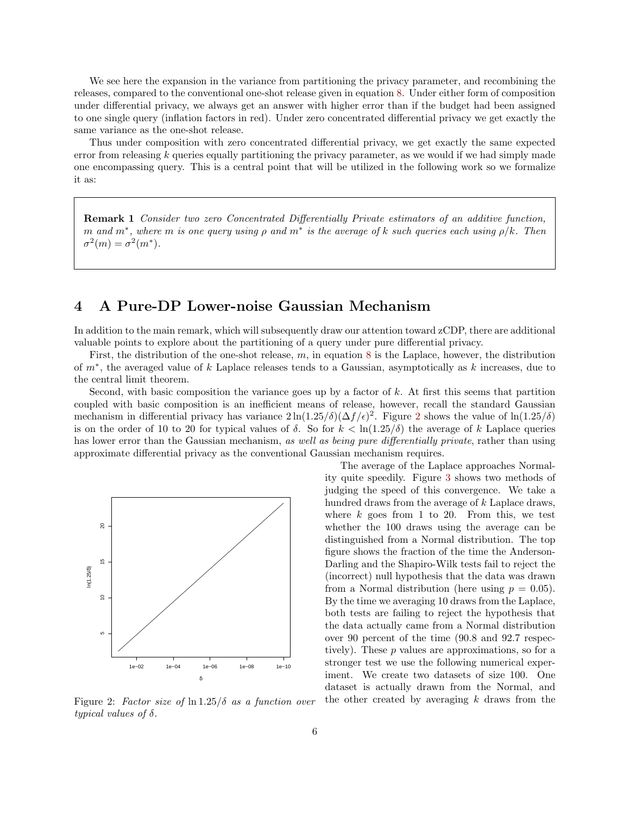We see here the expansion in the variance from partitioning the privacy parameter, and recombining the releases, compared to the conventional one-shot release given in equation [8.](#page-4-0) Under either form of composition under differential privacy, we always get an answer with higher error than if the budget had been assigned to one single query (inflation factors in red). Under zero concentrated differential privacy we get exactly the same variance as the one-shot release.

<span id="page-5-2"></span>Thus under composition with zero concentrated differential privacy, we get exactly the same expected error from releasing  $k$  queries equally partitioning the privacy parameter, as we would if we had simply made one encompassing query. This is a central point that will be utilized in the following work so we formalize it as:

Remark 1 Consider two zero Concentrated Differentially Private estimators of an additive function, m and  $m^*$ , where m is one query using  $\rho$  and  $m^*$  is the average of k such queries each using  $\rho/k$ . Then  $\sigma^2(m) = \sigma^2(m^*).$ 

### <span id="page-5-0"></span>4 A Pure-DP Lower-noise Gaussian Mechanism

In addition to the main remark, which will subsequently draw our attention toward zCDP, there are additional valuable points to explore about the partitioning of a query under pure differential privacy.

First, the distribution of the one-shot release,  $m$ , in equation [8](#page-4-0) is the Laplace, however, the distribution of m<sup>∗</sup> , the averaged value of k Laplace releases tends to a Gaussian, asymptotically as k increases, due to the central limit theorem.

Second, with basic composition the variance goes up by a factor of  $k$ . At first this seems that partition coupled with basic composition is an inefficient means of release, however, recall the standard Gaussian mechanism in differential privacy has variance  $2\ln(1.25/\delta)(\Delta f/\epsilon)^2$  $2\ln(1.25/\delta)(\Delta f/\epsilon)^2$ . Figure 2 shows the value of  $\ln(1.25/\delta)$ is on the order of 10 to 20 for typical values of  $\delta$ . So for  $k < \ln(1.25/\delta)$  the average of k Laplace queries has lower error than the Gaussian mechanism, as well as being pure differentially private, rather than using approximate differential privacy as the conventional Gaussian mechanism requires.

<span id="page-5-1"></span>

Figure 2: Factor size of  $\ln 1.25/\delta$  as a function over typical values of  $\delta$ .

The average of the Laplace approaches Normality quite speedily. Figure [3](#page-6-0) shows two methods of judging the speed of this convergence. We take a hundred draws from the average of k Laplace draws, where  $k$  goes from 1 to 20. From this, we test whether the 100 draws using the average can be distinguished from a Normal distribution. The top figure shows the fraction of the time the Anderson-Darling and the Shapiro-Wilk tests fail to reject the (incorrect) null hypothesis that the data was drawn from a Normal distribution (here using  $p = 0.05$ ). By the time we averaging 10 draws from the Laplace, both tests are failing to reject the hypothesis that the data actually came from a Normal distribution over 90 percent of the time (90.8 and 92.7 respectively). These  $p$  values are approximations, so for a stronger test we use the following numerical experiment. We create two datasets of size 100. One dataset is actually drawn from the Normal, and the other created by averaging  $k$  draws from the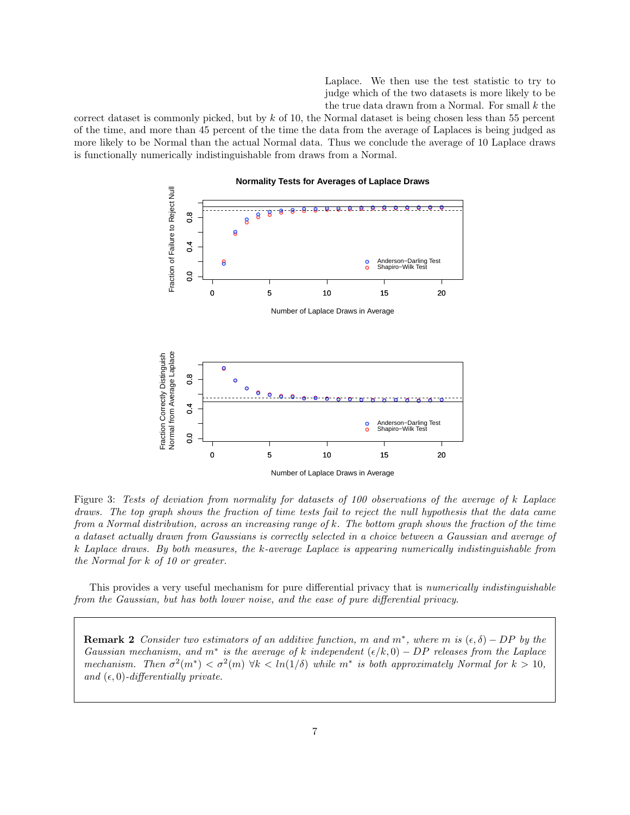Laplace. We then use the test statistic to try to judge which of the two datasets is more likely to be the true data drawn from a Normal. For small  $k$  the

<span id="page-6-0"></span>correct dataset is commonly picked, but by  $k$  of 10, the Normal dataset is being chosen less than 55 percent of the time, and more than 45 percent of the time the data from the average of Laplaces is being judged as more likely to be Normal than the actual Normal data. Thus we conclude the average of 10 Laplace draws is functionally numerically indistinguishable from draws from a Normal.



Figure 3: Tests of deviation from normality for datasets of 100 observations of the average of k Laplace draws. The top graph shows the fraction of time tests fail to reject the null hypothesis that the data came from a Normal distribution, across an increasing range of k. The bottom graph shows the fraction of the time a dataset actually drawn from Gaussians is correctly selected in a choice between a Gaussian and average of k Laplace draws. By both measures, the k-average Laplace is appearing numerically indistinguishable from the Normal for k of 10 or greater.

This provides a very useful mechanism for pure differential privacy that is *numerically indistinguishable* from the Gaussian, but has both lower noise, and the ease of pure differential privacy.

**Remark 2** Consider two estimators of an additive function, m and  $m^*$ , where m is  $(\epsilon, \delta) - DP$  by the Gaussian mechanism, and m<sup>\*</sup> is the average of k independent  $(\epsilon/k, 0) - DP$  releases from the Laplace mechanism. Then  $\sigma^2(m^*) < \sigma^2(m)$   $\forall k < ln(1/\delta)$  while  $m^*$  is both approximately Normal for  $k > 10$ , and  $(\epsilon, 0)$ -differentially private.

7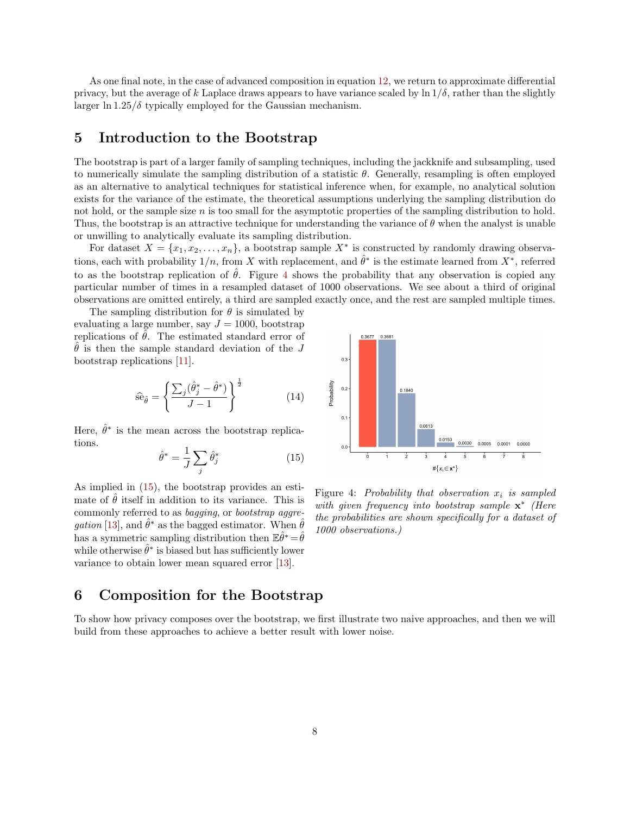As one final note, in the case of advanced composition in equation [12,](#page-4-1) we return to approximate differential privacy, but the average of k Laplace draws appears to have variance scaled by  $\ln 1/\delta$ , rather than the slightly larger ln  $1.25/\delta$  typically employed for the Gaussian mechanism.

### <span id="page-7-0"></span>5 Introduction to the Bootstrap

The bootstrap is part of a larger family of sampling techniques, including the jackknife and subsampling, used to numerically simulate the sampling distribution of a statistic  $\theta$ . Generally, resampling is often employed as an alternative to analytical techniques for statistical inference when, for example, no analytical solution exists for the variance of the estimate, the theoretical assumptions underlying the sampling distribution do not hold, or the sample size n is too small for the asymptotic properties of the sampling distribution to hold. Thus, the bootstrap is an attractive technique for understanding the variance of  $\theta$  when the analyst is unable or unwilling to analytically evaluate its sampling distribution.

For dataset  $X = \{x_1, x_2, \ldots, x_n\}$ , a bootstrap sample  $X^*$  is constructed by randomly drawing observations, each with probability  $1/n$ , from X with replacement, and  $\hat{\theta}^*$  is the estimate learned from  $X^*$ , referred to as the bootstrap replication of  $\hat{\theta}$ . Figure [4](#page-7-2) shows the probability that any observation is copied any particular number of times in a resampled dataset of 1000 observations. We see about a third of original observations are omitted entirely, a third are sampled exactly once, and the rest are sampled multiple times.

The sampling distribution for  $\theta$  is simulated by evaluating a large number, say  $J = 1000$ , bootstrap replications of  $\hat{\theta}$ . The estimated standard error of  $\hat{\theta}$  is then the sample standard deviation of the J bootstrap replications [\[11\]](#page-15-10).

$$
\hat{\text{se}}_{\hat{\theta}} = \left\{ \frac{\sum_{j} (\hat{\theta}_j^* - \hat{\theta}^*)}{J - 1} \right\}^{\frac{1}{2}}
$$
(14)

Here,  $\hat{\theta}^*$  is the mean across the bootstrap replications.

<span id="page-7-3"></span>
$$
\hat{\theta}^* = \frac{1}{J} \sum_j \hat{\theta}_j^* \tag{15}
$$

As implied in [\(15\)](#page-7-3), the bootstrap provides an estimate of  $\hat{\theta}$  itself in addition to its variance. This is commonly referred to as bagging, or bootstrap aggre*gation* [\[13\]](#page-16-10), and  $\hat{\theta}^*$  as the bagged estimator. When  $\hat{\theta}$ has a symmetric sampling distribution then  $\mathbb{E} \hat{\theta}^* = \hat{\theta}$ while otherwise  $\hat{\theta}^*$  is biased but has sufficiently lower variance to obtain lower mean squared error [\[13\]](#page-16-10).

<span id="page-7-2"></span>

Figure 4: Probability that observation  $x_i$  is sampled with given frequency into bootstrap sample  $\mathbf{x}^*$  (Here the probabilities are shown specifically for a dataset of 1000 observations.)

### <span id="page-7-1"></span>6 Composition for the Bootstrap

To show how privacy composes over the bootstrap, we first illustrate two naive approaches, and then we will build from these approaches to achieve a better result with lower noise.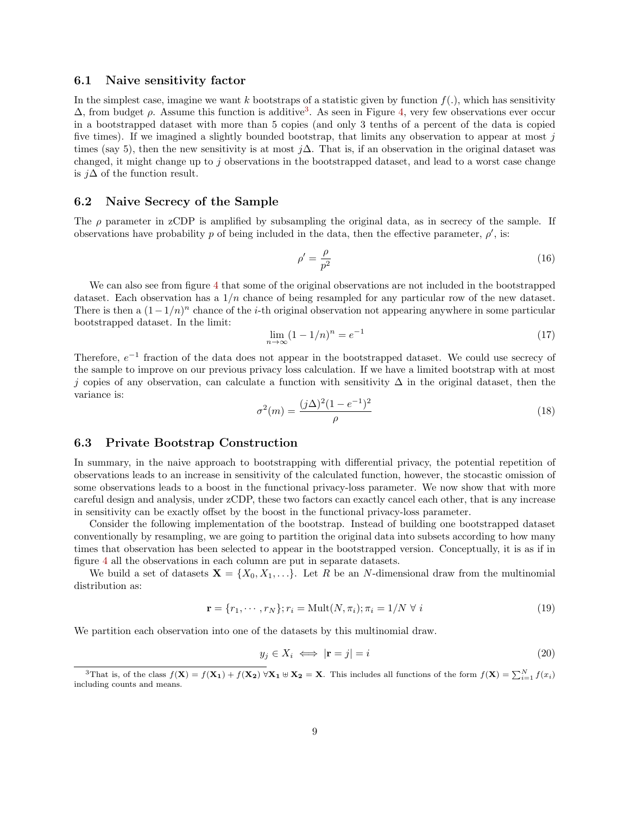#### 6.1 Naive sensitivity factor

In the simplest case, imagine we want k bootstraps of a statistic given by function  $f(.)$ , which has sensitivity  $\Delta$ , from budget  $\rho$ . Assume this function is additive<sup>[3](#page-8-0)</sup>. As seen in Figure [4,](#page-7-2) very few observations ever occur in a bootstrapped dataset with more than 5 copies (and only 3 tenths of a percent of the data is copied five times). If we imagined a slightly bounded bootstrap, that limits any observation to appear at most  $j$ times (say 5), then the new sensitivity is at most j $\Delta$ . That is, if an observation in the original dataset was changed, it might change up to j observations in the bootstrapped dataset, and lead to a worst case change is j∆ of the function result.

#### 6.2 Naive Secrecy of the Sample

The  $\rho$  parameter in zCDP is amplified by subsampling the original data, as in secrecy of the sample. If observations have probability p of being included in the data, then the effective parameter,  $\rho'$ , is:

$$
\rho' = \frac{\rho}{p^2} \tag{16}
$$

We can also see from figure [4](#page-7-2) that some of the original observations are not included in the bootstrapped dataset. Each observation has a  $1/n$  chance of being resampled for any particular row of the new dataset. There is then a  $(1-1/n)^n$  chance of the *i*-th original observation not appearing anywhere in some particular bootstrapped dataset. In the limit:

$$
\lim_{n \to \infty} (1 - 1/n)^n = e^{-1}
$$
\n(17)

Therefore,  $e^{-1}$  fraction of the data does not appear in the bootstrapped dataset. We could use secrecy of the sample to improve on our previous privacy loss calculation. If we have a limited bootstrap with at most j copies of any observation, can calculate a function with sensitivity  $\Delta$  in the original dataset, then the variance is:

$$
\sigma^{2}(m) = \frac{(j\Delta)^{2}(1 - e^{-1})^{2}}{\rho}
$$
\n(18)

#### 6.3 Private Bootstrap Construction

In summary, in the naive approach to bootstrapping with differential privacy, the potential repetition of observations leads to an increase in sensitivity of the calculated function, however, the stocastic omission of some observations leads to a boost in the functional privacy-loss parameter. We now show that with more careful design and analysis, under zCDP, these two factors can exactly cancel each other, that is any increase in sensitivity can be exactly offset by the boost in the functional privacy-loss parameter.

Consider the following implementation of the bootstrap. Instead of building one bootstrapped dataset conventionally by resampling, we are going to partition the original data into subsets according to how many times that observation has been selected to appear in the bootstrapped version. Conceptually, it is as if in figure [4](#page-7-2) all the observations in each column are put in separate datasets.

We build a set of datasets  $X = \{X_0, X_1, \ldots\}$ . Let R be an N-dimensional draw from the multinomial distribution as:

$$
\mathbf{r} = \{r_1, \cdots, r_N\}; r_i = \text{Mult}(N, \pi_i); \pi_i = 1/N \ \forall \ i \tag{19}
$$

We partition each observation into one of the datasets by this multinomial draw.

$$
y_j \in X_i \iff |\mathbf{r} = j| = i \tag{20}
$$

<span id="page-8-0"></span><sup>&</sup>lt;sup>3</sup>That is, of the class  $f(\mathbf{X}) = f(\mathbf{X_1}) + f(\mathbf{X_2}) \,\forall \mathbf{X_1} \uplus \mathbf{X_2} = \mathbf{X}$ . This includes all functions of the form  $f(\mathbf{X}) = \sum_{i=1}^{N} f(x_i)$ including counts and means.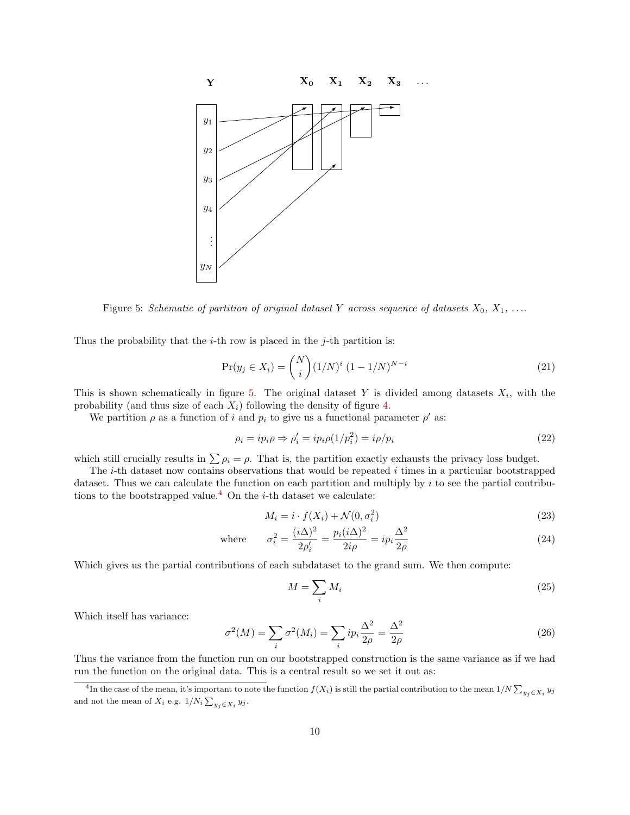<span id="page-9-0"></span>

Figure 5: Schematic of partition of original dataset Y across sequence of datasets  $X_0, X_1, \ldots$ 

Thus the probability that the  $i$ -th row is placed in the  $j$ -th partition is:

$$
\Pr(y_j \in X_i) = \binom{N}{i} (1/N)^i (1 - 1/N)^{N-i} \tag{21}
$$

This is shown schematically in figure [5.](#page-9-0) The original dataset Y is divided among datasets  $X_i$ , with the probability (and thus size of each  $X_i$ ) following the density of figure [4.](#page-7-2)

We partition  $\rho$  as a function of i and  $p_i$  to give us a functional parameter  $\rho'$  as:

$$
\rho_i = ip_i \rho \Rightarrow \rho_i' = ip_i \rho (1/p_i^2) = i \rho / p_i \tag{22}
$$

which still crucially results in  $\sum \rho_i = \rho$ . That is, the partition exactly exhausts the privacy loss budget.

The  $i$ -th dataset now contains observations that would be repeated  $i$  times in a particular bootstrapped dataset. Thus we can calculate the function on each partition and multiply by  $i$  to see the partial contribu-tions to the bootstrapped value.<sup>[4](#page-9-1)</sup> On the *i*-th dataset we calculate:

$$
M_i = i \cdot f(X_i) + \mathcal{N}(0, \sigma_i^2)
$$
\n<sup>(23)</sup>

where 
$$
\sigma_i^2 = \frac{(i\Delta)^2}{2\rho_i'} = \frac{p_i(i\Delta)^2}{2i\rho} = ip_i \frac{\Delta^2}{2\rho}
$$
 (24)

Which gives us the partial contributions of each subdataset to the grand sum. We then compute:

<span id="page-9-2"></span>
$$
M = \sum_{i} M_i \tag{25}
$$

Which itself has variance:

$$
\sigma^2(M) = \sum_i \sigma^2(M_i) = \sum_i i p_i \frac{\Delta^2}{2\rho} = \frac{\Delta^2}{2\rho}
$$
\n(26)

Thus the variance from the function run on our bootstrapped construction is the same variance as if we had run the function on the original data. This is a central result so we set it out as:

<span id="page-9-1"></span><sup>&</sup>lt;sup>4</sup>In the case of the mean, it's important to note the function  $f(X_i)$  is still the partial contribution to the mean  $1/N \sum_{y_j \in X_i} y_j$ and not the mean of  $X_i$  e.g.  $1/N_i \sum_{y_j \in X_i} y_j$ .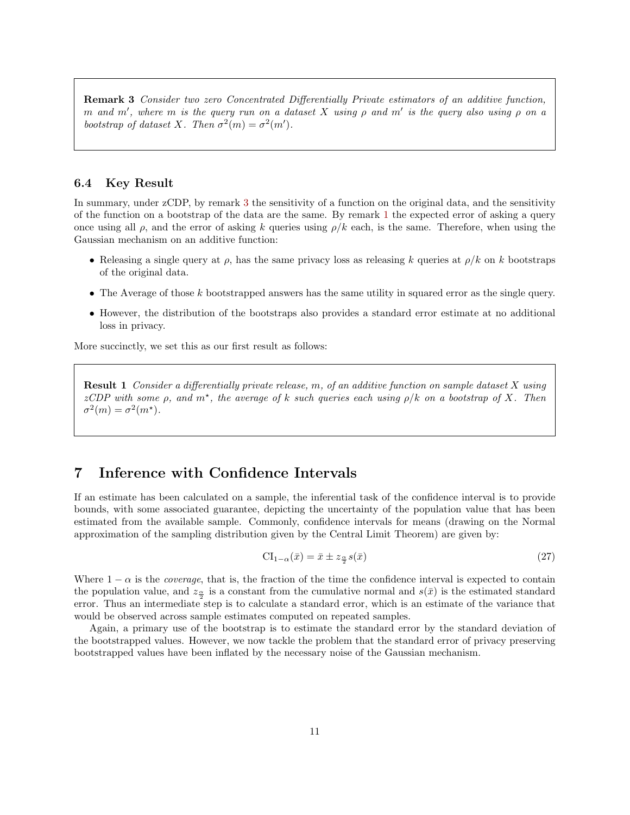**Remark 3** Consider two zero Concentrated Differentially Private estimators of an additive function, m and m', where m is the query run on a dataset X using  $\rho$  and m' is the query also using  $\rho$  on a bootstrap of dataset X. Then  $\sigma^2(m) = \sigma^2(m')$ .

#### <span id="page-10-1"></span>6.4 Key Result

In summary, under zCDP, by remark [3](#page-9-2) the sensitivity of a function on the original data, and the sensitivity of the function on a bootstrap of the data are the same. By remark [1](#page-5-2) the expected error of asking a query once using all  $\rho$ , and the error of asking k queries using  $\rho/k$  each, is the same. Therefore, when using the Gaussian mechanism on an additive function:

- Releasing a single query at  $\rho$ , has the same privacy loss as releasing k queries at  $\rho/k$  on k bootstraps of the original data.
- The Average of those  $k$  bootstrapped answers has the same utility in squared error as the single query.
- However, the distribution of the bootstraps also provides a standard error estimate at no additional loss in privacy.

More succinctly, we set this as our first result as follows:

**Result 1** Consider a differentially private release, m, of an additive function on sample dataset  $X$  using zCDP with some  $\rho$ , and  $m^*$ , the average of k such queries each using  $\rho/k$  on a bootstrap of X. Then  $\sigma^2(m) = \sigma^2(m^*).$ 

### <span id="page-10-0"></span>7 Inference with Confidence Intervals

If an estimate has been calculated on a sample, the inferential task of the confidence interval is to provide bounds, with some associated guarantee, depicting the uncertainty of the population value that has been estimated from the available sample. Commonly, confidence intervals for means (drawing on the Normal approximation of the sampling distribution given by the Central Limit Theorem) are given by:

$$
CI_{1-\alpha}(\bar{x}) = \bar{x} \pm z_{\frac{\alpha}{2}} s(\bar{x})
$$
\n<sup>(27)</sup>

Where  $1 - \alpha$  is the *coverage*, that is, the fraction of the time the confidence interval is expected to contain the population value, and  $z_{\frac{\alpha}{2}}$  is a constant from the cumulative normal and  $s(\bar{x})$  is the estimated standard error. Thus an intermediate step is to calculate a standard error, which is an estimate of the variance that would be observed across sample estimates computed on repeated samples.

Again, a primary use of the bootstrap is to estimate the standard error by the standard deviation of the bootstrapped values. However, we now tackle the problem that the standard error of privacy preserving bootstrapped values have been inflated by the necessary noise of the Gaussian mechanism.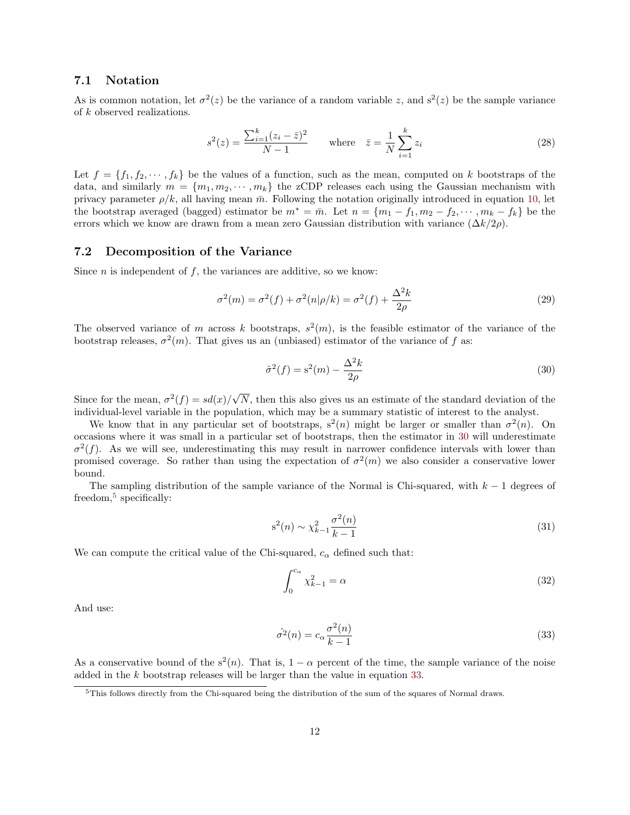#### 7.1 Notation

As is common notation, let  $\sigma^2(z)$  be the variance of a random variable z, and  $s^2(z)$  be the sample variance of k observed realizations.

$$
s^{2}(z) = \frac{\sum_{i=1}^{k} (z_{i} - \bar{z})^{2}}{N - 1} \quad \text{where} \quad \bar{z} = \frac{1}{N} \sum_{i=1}^{k} z_{i}
$$
 (28)

Let  $f = \{f_1, f_2, \dots, f_k\}$  be the values of a function, such as the mean, computed on k bootstraps of the data, and similarly  $m = \{m_1, m_2, \dots, m_k\}$  the zCDP releases each using the Gaussian mechanism with privacy parameter  $\rho/k$ , all having mean  $\bar{m}$ . Following the notation originally introduced in equation [10,](#page-4-2) let the bootstrap averaged (bagged) estimator be  $m^* = \bar{m}$ . Let  $n = \{m_1 - f_1, m_2 - f_2, \dots, m_k - f_k\}$  be the errors which we know are drawn from a mean zero Gaussian distribution with variance  $(\Delta k/2\rho)$ .

#### 7.2 Decomposition of the Variance

Since  $n$  is independent of  $f$ , the variances are additive, so we know:

$$
\sigma^{2}(m) = \sigma^{2}(f) + \sigma^{2}(n|\rho/k) = \sigma^{2}(f) + \frac{\Delta^{2}k}{2\rho}
$$
\n(29)

The observed variance of m across k bootstraps,  $s^2(m)$ , is the feasible estimator of the variance of the bootstrap releases,  $\sigma^2(m)$ . That gives us an (unbiased) estimator of the variance of f as:

<span id="page-11-0"></span>
$$
\hat{\sigma}^2(f) = \mathbf{s}^2(m) - \frac{\Delta^2 k}{2\rho} \tag{30}
$$

Since for the mean,  $\sigma^2(f) = sd(x)/$ √ N, then this also gives us an estimate of the standard deviation of the individual-level variable in the population, which may be a summary statistic of interest to the analyst.

We know that in any particular set of bootstraps,  $s^2(n)$  might be larger or smaller than  $\sigma^2(n)$ . On occasions where it was small in a particular set of bootstraps, then the estimator in [30](#page-11-0) will underestimate  $\sigma^2(f)$ . As we will see, underestimating this may result in narrower confidence intervals with lower than promised coverage. So rather than using the expectation of  $\sigma^2(m)$  we also consider a conservative lower bound.

The sampling distribution of the sample variance of the Normal is Chi-squared, with  $k - 1$  degrees of freedom,<sup>[5](#page-11-1)</sup> specifically:

$$
s^{2}(n) \sim \chi_{k-1}^{2} \frac{\sigma^{2}(n)}{k-1}
$$
\n(31)

We can compute the critical value of the Chi-squared,  $c_{\alpha}$  defined such that:

<span id="page-11-3"></span><span id="page-11-2"></span>
$$
\int_0^{c_\alpha} \chi_{k-1}^2 = \alpha \tag{32}
$$

And use:

$$
\hat{\sigma}^2(n) = c_\alpha \frac{\sigma^2(n)}{k-1} \tag{33}
$$

As a conservative bound of the  $s^2(n)$ . That is,  $1 - \alpha$  percent of the time, the sample variance of the noise added in the k bootstrap releases will be larger than the value in equation [33.](#page-11-2)

<span id="page-11-1"></span><sup>&</sup>lt;sup>5</sup>This follows directly from the Chi-squared being the distribution of the sum of the squares of Normal draws.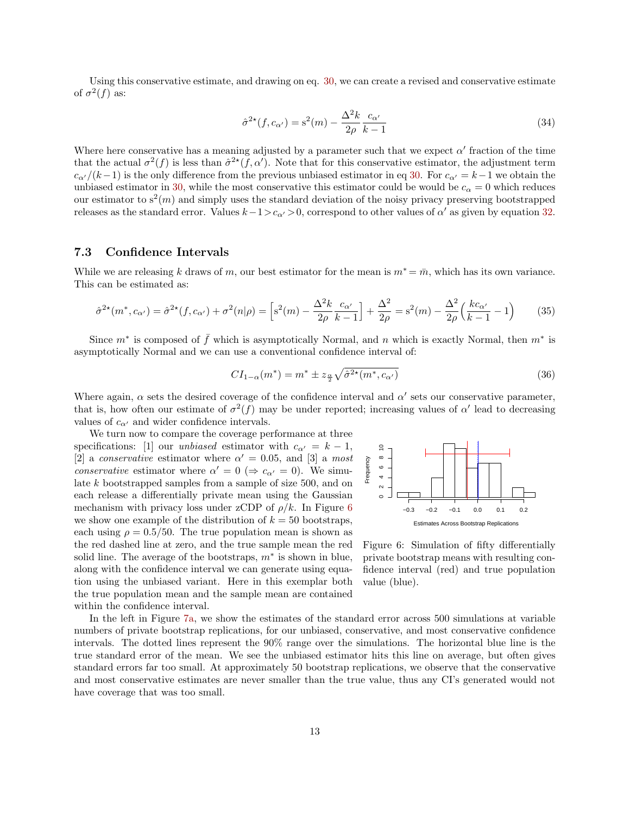Using this conservative estimate, and drawing on eq. [30,](#page-11-0) we can create a revised and conservative estimate of  $\sigma^2(f)$  as:

$$
\hat{\sigma}^{2\star}(f, c_{\alpha'}) = \mathbf{s}^2(m) - \frac{\Delta^2 k}{2\rho} \frac{c_{\alpha'}}{k-1}
$$
\n(34)

Where here conservative has a meaning adjusted by a parameter such that we expect  $\alpha'$  fraction of the time that the actual  $\sigma^2(f)$  is less than  $\hat{\sigma}^{2*}(f,\alpha')$ . Note that for this conservative estimator, the adjustment term  $c_{\alpha'}/(k-1)$  is the only difference from the previous unbiased estimator in eq [30.](#page-11-0) For  $c_{\alpha'} = k-1$  we obtain the unbiased estimator in [30,](#page-11-0) while the most conservative this estimator could be would be  $c_{\alpha} = 0$  which reduces our estimator to  $s^2(m)$  and simply uses the standard deviation of the noisy privacy preserving bootstrapped releases as the standard error. Values  $k-1>c_{\alpha'} > 0$ , correspond to other values of  $\alpha'$  as given by equation [32.](#page-11-3)

#### 7.3 Confidence Intervals

While we are releasing k draws of m, our best estimator for the mean is  $m^* = \bar{m}$ , which has its own variance. This can be estimated as:

$$
\hat{\sigma}^{2*}(m^*, c_{\alpha'}) = \hat{\sigma}^{2*}(f, c_{\alpha'}) + \sigma^2(n|\rho) = \left[s^2(m) - \frac{\Delta^2 k}{2\rho} \frac{c_{\alpha'}}{k-1}\right] + \frac{\Delta^2}{2\rho} = s^2(m) - \frac{\Delta^2}{2\rho} \left(\frac{kc_{\alpha'}}{k-1} - 1\right)
$$
(35)

Since  $m^*$  is composed of  $\bar{f}$  which is asymptotically Normal, and n which is exactly Normal, then  $m^*$  is asymptotically Normal and we can use a conventional confidence interval of:

$$
CI_{1-\alpha}(m^*) = m^* \pm z_{\frac{\alpha}{2}} \sqrt{\hat{\sigma}^{2*}(m^*, c_{\alpha'})}
$$
\n(36)

Where again,  $\alpha$  sets the desired coverage of the confidence interval and  $\alpha'$  sets our conservative parameter, that is, how often our estimate of  $\sigma^2(f)$  may be under reported; increasing values of  $\alpha'$  lead to decreasing values of  $c_{\alpha'}$  and wider confidence intervals.

We turn now to compare the coverage performance at three specifications: [1] our *unbiased* estimator with  $c_{\alpha'} = k - 1$ , [2] a conservative estimator where  $\alpha' = 0.05$ , and [3] a most conservative estimator where  $\alpha' = 0 \ (\Rightarrow c_{\alpha'} = 0)$ . We simulate k bootstrapped samples from a sample of size 500, and on each release a differentially private mean using the Gaussian mechanism with privacy loss under zCDP of  $\rho/k$ . In Figure [6](#page-12-0) we show one example of the distribution of  $k = 50$  bootstraps, each using  $\rho = 0.5/50$ . The true population mean is shown as the red dashed line at zero, and the true sample mean the red solid line. The average of the bootstraps,  $m^*$  is shown in blue, along with the confidence interval we can generate using equation using the unbiased variant. Here in this exemplar both the true population mean and the sample mean are contained within the confidence interval.

<span id="page-12-0"></span>

Figure 6: Simulation of fifty differentially private bootstrap means with resulting confidence interval (red) and true population value (blue).

In the left in Figure [7a,](#page-13-1) we show the estimates of the standard error across 500 simulations at variable numbers of private bootstrap replications, for our unbiased, conservative, and most conservative confidence intervals. The dotted lines represent the 90% range over the simulations. The horizontal blue line is the true standard error of the mean. We see the unbiased estimator hits this line on average, but often gives standard errors far too small. At approximately 50 bootstrap replications, we observe that the conservative and most conservative estimates are never smaller than the true value, thus any CI's generated would not have coverage that was too small.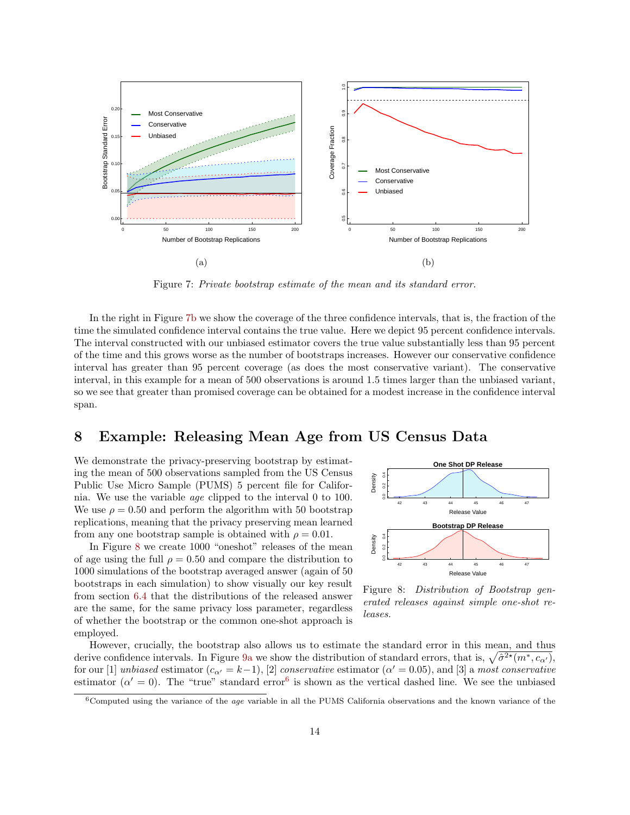<span id="page-13-1"></span>

Figure 7: Private bootstrap estimate of the mean and its standard error.

In the right in Figure [7b](#page-13-1) we show the coverage of the three confidence intervals, that is, the fraction of the time the simulated confidence interval contains the true value. Here we depict 95 percent confidence intervals. The interval constructed with our unbiased estimator covers the true value substantially less than 95 percent of the time and this grows worse as the number of bootstraps increases. However our conservative confidence interval has greater than 95 percent coverage (as does the most conservative variant). The conservative interval, in this example for a mean of 500 observations is around 1.5 times larger than the unbiased variant, so we see that greater than promised coverage can be obtained for a modest increase in the confidence interval span.

## <span id="page-13-0"></span>8 Example: Releasing Mean Age from US Census Data

We demonstrate the privacy-preserving bootstrap by estimating the mean of 500 observations sampled from the US Census Public Use Micro Sample (PUMS) 5 percent file for California. We use the variable age clipped to the interval 0 to 100. We use  $\rho = 0.50$  and perform the algorithm with 50 bootstrap replications, meaning that the privacy preserving mean learned from any one bootstrap sample is obtained with  $\rho = 0.01$ .

In Figure [8](#page-13-2) we create 1000 "oneshot" releases of the mean of age using the full  $\rho = 0.50$  and compare the distribution to 1000 simulations of the bootstrap averaged answer (again of 50 bootstraps in each simulation) to show visually our key result from section [6.4](#page-10-1) that the distributions of the released answer are the same, for the same privacy loss parameter, regardless of whether the bootstrap or the common one-shot approach is employed.

<span id="page-13-2"></span>

Figure 8: Distribution of Bootstrap generated releases against simple one-shot releases.

However, crucially, the bootstrap also allows us to estimate the standard error in this mean, and thus derive confidence intervals. In Figure [9a](#page-14-0) we show the distribution of standard errors, that is,  $\sqrt{\hat{\sigma}^{2*}(m^*, c_{\alpha'})}$ , for our [1] unbiased estimator  $(c_{\alpha'} = k-1)$ , [2] conservative estimator ( $\alpha' = 0.05$ ), and [3] a most conservative estimator ( $\alpha' = 0$ ). The "true" standard error<sup>[6](#page-13-3)</sup> is shown as the vertical dashed line. We see the unbiased

<span id="page-13-3"></span> $6$ Computed using the variance of the *age* variable in all the PUMS California observations and the known variance of the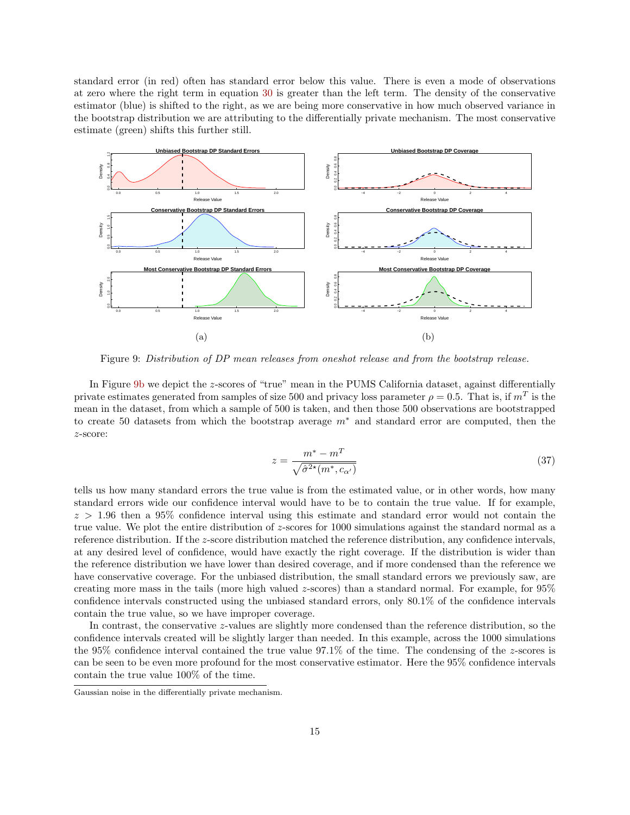standard error (in red) often has standard error below this value. There is even a mode of observations at zero where the right term in equation [30](#page-11-0) is greater than the left term. The density of the conservative estimator (blue) is shifted to the right, as we are being more conservative in how much observed variance in the bootstrap distribution we are attributing to the differentially private mechanism. The most conservative estimate (green) shifts this further still.

<span id="page-14-0"></span>

Figure 9: Distribution of DP mean releases from oneshot release and from the bootstrap release.

In Figure [9b](#page-14-0) we depict the z-scores of "true" mean in the PUMS California dataset, against differentially private estimates generated from samples of size 500 and privacy loss parameter  $\rho = 0.5$ . That is, if  $m<sup>T</sup>$  is the mean in the dataset, from which a sample of 500 is taken, and then those 500 observations are bootstrapped to create 50 datasets from which the bootstrap average m<sup>∗</sup> and standard error are computed, then the z-score:

$$
z = \frac{m^* - m^T}{\sqrt{\hat{\sigma}^{2*}(m^*, c_{\alpha'})}}
$$
(37)

tells us how many standard errors the true value is from the estimated value, or in other words, how many standard errors wide our confidence interval would have to be to contain the true value. If for example,  $z > 1.96$  then a 95% confidence interval using this estimate and standard error would not contain the true value. We plot the entire distribution of z-scores for 1000 simulations against the standard normal as a reference distribution. If the z-score distribution matched the reference distribution, any confidence intervals, at any desired level of confidence, would have exactly the right coverage. If the distribution is wider than the reference distribution we have lower than desired coverage, and if more condensed than the reference we have conservative coverage. For the unbiased distribution, the small standard errors we previously saw, are creating more mass in the tails (more high valued z-scores) than a standard normal. For example, for 95% confidence intervals constructed using the unbiased standard errors, only 80.1% of the confidence intervals contain the true value, so we have improper coverage.

In contrast, the conservative z-values are slightly more condensed than the reference distribution, so the confidence intervals created will be slightly larger than needed. In this example, across the 1000 simulations the 95% confidence interval contained the true value 97.1% of the time. The condensing of the z-scores is can be seen to be even more profound for the most conservative estimator. Here the 95% confidence intervals contain the true value 100% of the time.

Gaussian noise in the differentially private mechanism.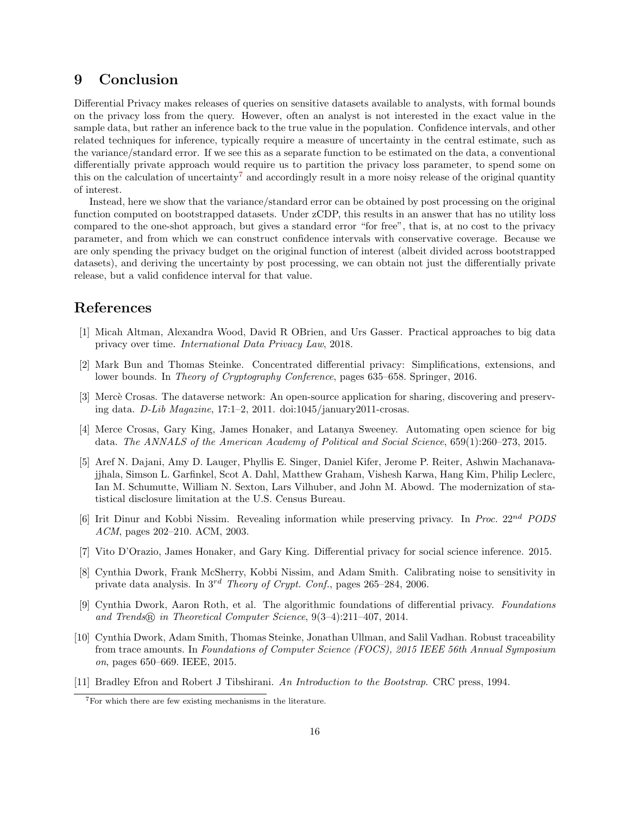### 9 Conclusion

Differential Privacy makes releases of queries on sensitive datasets available to analysts, with formal bounds on the privacy loss from the query. However, often an analyst is not interested in the exact value in the sample data, but rather an inference back to the true value in the population. Confidence intervals, and other related techniques for inference, typically require a measure of uncertainty in the central estimate, such as the variance/standard error. If we see this as a separate function to be estimated on the data, a conventional differentially private approach would require us to partition the privacy loss parameter, to spend some on this on the calculation of uncertainty<sup>[7](#page-15-11)</sup> and accordingly result in a more noisy release of the original quantity of interest.

Instead, here we show that the variance/standard error can be obtained by post processing on the original function computed on bootstrapped datasets. Under zCDP, this results in an answer that has no utility loss compared to the one-shot approach, but gives a standard error "for free", that is, at no cost to the privacy parameter, and from which we can construct confidence intervals with conservative coverage. Because we are only spending the privacy budget on the original function of interest (albeit divided across bootstrapped datasets), and deriving the uncertainty by post processing, we can obtain not just the differentially private release, but a valid confidence interval for that value.

### References

- <span id="page-15-1"></span>[1] Micah Altman, Alexandra Wood, David R OBrien, and Urs Gasser. Practical approaches to big data privacy over time. International Data Privacy Law, 2018.
- <span id="page-15-9"></span>[2] Mark Bun and Thomas Steinke. Concentrated differential privacy: Simplifications, extensions, and lower bounds. In Theory of Cryptography Conference, pages 635–658. Springer, 2016.
- <span id="page-15-7"></span>[3] Mercè Crosas. The dataverse network: An open-source application for sharing, discovering and preserving data.  $D-Lib\ Magazine, 17:1-2, 2011. \dot{\text{doi:1045/january2011-crossas.}}$
- <span id="page-15-2"></span>[4] Merce Crosas, Gary King, James Honaker, and Latanya Sweeney. Automating open science for big data. The ANNALS of the American Academy of Political and Social Science, 659(1):260–273, 2015.
- <span id="page-15-6"></span>[5] Aref N. Dajani, Amy D. Lauger, Phyllis E. Singer, Daniel Kifer, Jerome P. Reiter, Ashwin Machanavajjhala, Simson L. Garfinkel, Scot A. Dahl, Matthew Graham, Vishesh Karwa, Hang Kim, Philip Leclerc, Ian M. Schumutte, William N. Sexton, Lars Vilhuber, and John M. Abowd. The modernization of statistical disclosure limitation at the U.S. Census Bureau.
- <span id="page-15-5"></span>[6] Irit Dinur and Kobbi Nissim. Revealing information while preserving privacy. In Proc. 22nd PODS ACM, pages 202–210. ACM, 2003.
- <span id="page-15-0"></span>[7] Vito D'Orazio, James Honaker, and Gary King. Differential privacy for social science inference. 2015.
- <span id="page-15-3"></span>[8] Cynthia Dwork, Frank McSherry, Kobbi Nissim, and Adam Smith. Calibrating noise to sensitivity in private data analysis. In  $3^{rd}$  Theory of Crypt. Conf., pages 265–284, 2006.
- <span id="page-15-8"></span>[9] Cynthia Dwork, Aaron Roth, et al. The algorithmic foundations of differential privacy. Foundations and Trends <sup>R</sup> in Theoretical Computer Science, 9(3–4):211–407, 2014.
- <span id="page-15-4"></span>[10] Cynthia Dwork, Adam Smith, Thomas Steinke, Jonathan Ullman, and Salil Vadhan. Robust traceability from trace amounts. In Foundations of Computer Science (FOCS), 2015 IEEE 56th Annual Symposium on, pages 650–669. IEEE, 2015.
- <span id="page-15-10"></span>[11] Bradley Efron and Robert J Tibshirani. An Introduction to the Bootstrap. CRC press, 1994.

<span id="page-15-11"></span><sup>7</sup>For which there are few existing mechanisms in the literature.